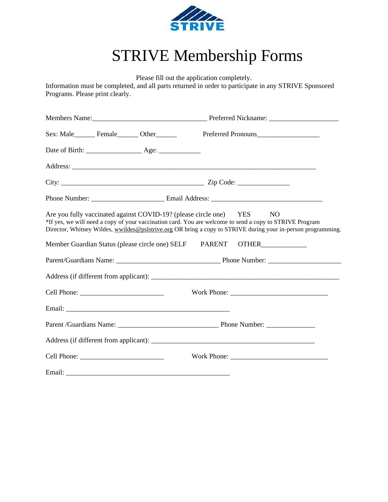

## STRIVE Membership Forms

Please fill out the application completely.

Information must be completed, and all parts returned in order to participate in any STRIVE Sponsored Programs. Please print clearly.

| Sex: Male_________ Female________ Other_______                        |  | Preferred Pronouns                                                                                                                                                                                                      |  |  |  |  |
|-----------------------------------------------------------------------|--|-------------------------------------------------------------------------------------------------------------------------------------------------------------------------------------------------------------------------|--|--|--|--|
|                                                                       |  |                                                                                                                                                                                                                         |  |  |  |  |
|                                                                       |  |                                                                                                                                                                                                                         |  |  |  |  |
|                                                                       |  |                                                                                                                                                                                                                         |  |  |  |  |
|                                                                       |  |                                                                                                                                                                                                                         |  |  |  |  |
| Are you fully vaccinated against COVID-19? (please circle one) YES NO |  | *If yes, we will need a copy of your vaccination card. You are welcome to send a copy to STRIVE Program<br>Director, Whitney Wildes, wwildes@pslstrive.org OR bring a copy to STRIVE during your in-person programming. |  |  |  |  |
| Member Guardian Status (please circle one) SELF PARENT                |  |                                                                                                                                                                                                                         |  |  |  |  |
|                                                                       |  |                                                                                                                                                                                                                         |  |  |  |  |
|                                                                       |  |                                                                                                                                                                                                                         |  |  |  |  |
|                                                                       |  |                                                                                                                                                                                                                         |  |  |  |  |
|                                                                       |  |                                                                                                                                                                                                                         |  |  |  |  |
|                                                                       |  |                                                                                                                                                                                                                         |  |  |  |  |
|                                                                       |  |                                                                                                                                                                                                                         |  |  |  |  |
|                                                                       |  |                                                                                                                                                                                                                         |  |  |  |  |
|                                                                       |  |                                                                                                                                                                                                                         |  |  |  |  |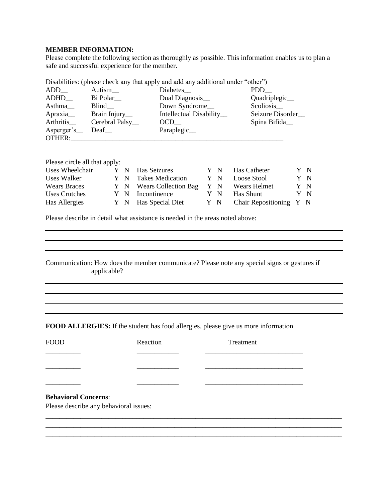## **MEMBER INFORMATION:**

Please complete the following section as thoroughly as possible. This information enables us to plan a safe and successful experience for the member.

| ADD                         | Autism_         | Diabetes_                | PDD              |
|-----------------------------|-----------------|--------------------------|------------------|
| ADHD                        | Bi Polar        | Dual Diagnosis_          | Quadriplegic_    |
| Asthma                      | Blind_          | Down Syndrome_           | Scoliosis_       |
| Apraxia                     | Brain Injury_   | Intellectual Disability_ | Seizure Disorder |
| Arthritis                   | Cerebral Palsy_ | OCD                      | Spina Bifida_    |
| Asperger's<br><b>OTHER:</b> | Deaf            | Paraplegic_              |                  |
|                             |                 |                          |                  |

Disabilities: (please check any that apply and add any additional under "other")

Please circle all that apply:

| Uses Wheelchair     |  | Y N Has Seizures         |     | Y N Has Catheter        | Y N |
|---------------------|--|--------------------------|-----|-------------------------|-----|
| Uses Walker         |  | Y N Takes Medication     | Y N | Loose Stool             | Y N |
| <b>Wears Braces</b> |  | Y N Wears Collection Bag |     | Y N Wears Helmet        | Y N |
| Uses Crutches       |  | Y N Incontinence         | Y N | Has Shunt               | Y N |
| Has Allergies       |  | Y N Has Special Diet     | Y N | Chair Repositioning Y N |     |

Please describe in detail what assistance is needed in the areas noted above:

Communication: How does the member communicate? Please note any special signs or gestures if applicable?

**FOOD ALLERGIES:** If the student has food allergies, please give us more information

| <b>FOOD</b>                            | Reaction | Treatment                                                                                                            |  |
|----------------------------------------|----------|----------------------------------------------------------------------------------------------------------------------|--|
|                                        |          | <u> 1989 - Johann John Stein, markin fan it ferstjer fan it ferstjer fan it ferstjer fan it ferstjer fan it fers</u> |  |
|                                        |          |                                                                                                                      |  |
|                                        |          |                                                                                                                      |  |
|                                        |          |                                                                                                                      |  |
| <b>Behavioral Concerns:</b>            |          |                                                                                                                      |  |
| Please describe any behavioral issues: |          |                                                                                                                      |  |
|                                        |          |                                                                                                                      |  |
|                                        |          |                                                                                                                      |  |
|                                        |          |                                                                                                                      |  |